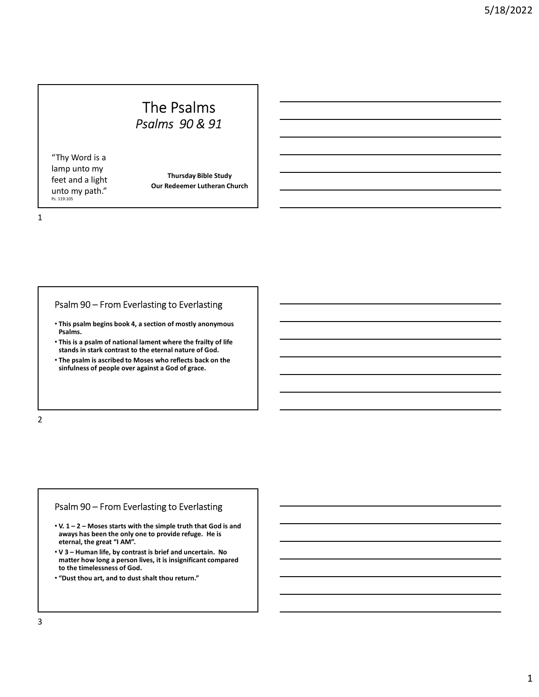# The Psalms<br>Psalms 90 & 91 The Psalms<br>  $Psalms 90 & 91$ <br>
Thursday Bible Study<br>
Our Redeemer Lutheran Church

"Thy Word is a lamp unto my feet and a light

Thursday Bible Study Our Redeemer Lutheran Church

1

- The Psalms<br>
"Thy Word is a<br>
"Thy Word is a<br>
tect and a light<br>
tect and a light<br>
tect and a light<br>
"The path." Our Redeemer Lutheran Church<br>
"This is path."<br>
Psalm 90 From Everlasting to Everlasting<br>
"This is a psalm of m • This psalm begins book 4, a section of mostly anonymous Psalms.
- This is a psalm of national lament where the frailty of life stands in stark contrast to the eternal nature of God.
- The psalm is ascribed to Moses who reflects back on the sinfulness of people over against a God of grace.

2 and 2 and 2 and 2 and 2 and 2 and 2 and 2 and 2 and 2 and 2 and 2 and 2 and 2 and 2 and 2 and 2 and 2 and 2

- $\cdot$  V. 1 2 Moses starts with the simple truth that God is and aways has been the only one to provide refuge. He is eternal, the great "I AM".
- Psalm 90 From Everlasting to Everlasting<br>
Psalms.<br>
This is a psalm of national lament where the frailty of life<br>
this is a psalm of national lament where the frailty of life<br>
stands in stark contrast to the eternal natur FSalm 90 – From Everlasting to Everlasting<br>
• This pash begins book 4, a section of mostly anonymous<br>
• Fals is a psalm of national lament where the frailty of life<br>
• Stands in stark contrast to the elerant and turne of **Pashs and Solution and Solution and Solution Control of the eleman landuce of God.**<br>
• This is a psalm is ascribed to Moses who reflects back on the<br>
sinfulness of people over against a God of grace.<br>
• Sinfulness of peop matter how long a person lives, it is insignificant compared to the timelessness of God.
- "Dust thou art, and to dust shalt thou return."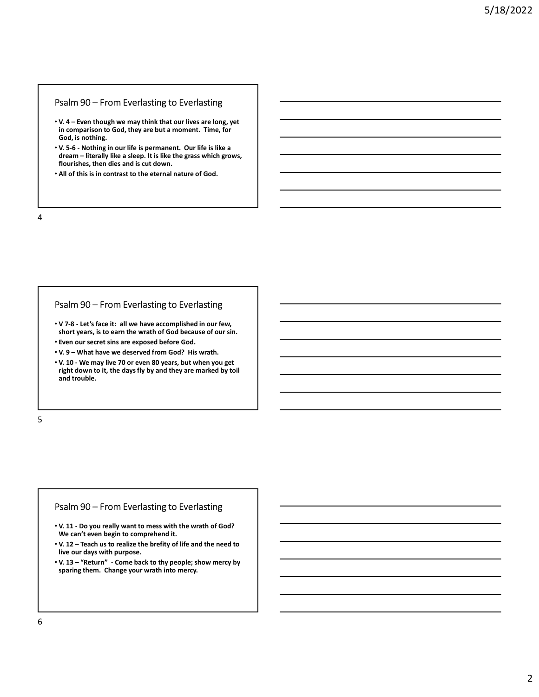- V. 4 Even though we may think that our lives are long, yet in comparison to God, they are but a moment. Time, for God, is nothing.
- Psalm 90 From Everlasting to Everlasting<br>
v. 4 Even though we may think that our lives are long, yet<br>
in comparison to God, they are but a moment. Time, for<br>
God, is nothing.<br>
v. 5-6 Nothing in our life is permanent. **Psalm 90 – From Everlasting to Everlasting<br>• V. 4 – Even though we may think that our lives are long, yet<br>in comparison to God, they are but a moment. Time, for<br>God, is nothing.<br>• V. 5-6 - Nothing in our life is permanent Psalm 90 – From Everlasting to Everlasting<br>• V. 4 – Even though we may think that our lives are long, yet<br>in comparison to God, they are but a moment. Time, for<br>God, is nothing.<br>• V. 5-6 - Nothing in our life is permanent** Salm 90 – From Everlasting to Everlasting<br>
V. 4 – Even though we may think that our lives are long, yet<br>
in comparison to God, they are but a moment. Time, for<br>
God, is nothing.<br>
V. 5-6 - Nothing in our life is permanent. flourishes, then dies and is cut down. Psalm 90 – From Everlasting to Everlasting<br>
v.v. 4 – Even though we may think that our lives are long, yet<br>
in comparison to God, they are but a moment. Time, for<br>
God, is nothing<br>
v. 5-6 - Nothing in our life is permanent • V 7-8 - Let's face it: all we have him that unriling to Evera long, yet<br>
• in comparison to God, they are but a moment. Time, for<br>
God, is nothing.<br>
• V, 5-6 - Nothing.<br>
• V, 5-6 - Nothing in our life is permanent. Our • Cool, is nothing.<br>• V. 7-6 - Mothing in our life is germanent. • Curlist like is a dream – literally like a sleep. It is like the grass which grows,<br>• flourishes, then dies and is cut down.<br>• All of this is in contras
- All of this is in contrast to the eternal nature of God.
- 4

- short years, is to earn the wrath of God because of our sin.
- Even our secret sins are exposed before God.
- 
- right down to it, the days fly by and they are marked by toil and trouble. Psalm 90 – From Everlasting to Everlasting<br>
v 7.8 - Let's face it: all we have accomplished in our few,<br>
short years, is to earn the wrath of God because of our sin.<br>
Fuen our secret sins are we deserved from God? His wrat • V. 13 - Let's face it: all we have accomplished in our few,<br>• V. 13 - Let's face it: all we have accomplished in our few,<br>• Even our secret sins are exposed before God.<br>• V. 10 - We may live 70 or even 80 years, but when • V. 73 – Let's face it: all we have accomplished in our few.<br>• there our secret sins are exposed before God.<br>• V. 9 – What have we deserved from God? His wrath.<br>• V. 9 – What have we deserved from God? His wrath.<br>• right • Pero nur secret sins are exposed before God.<br>• V. 9 – What have we deserved from God? His wrath.<br>• V. 10 – We may live 70 or even 80 years, but when you get<br>• right down to it, the days fly by and they are marked by toll
- $5<sub>5</sub>$

- V. 11 Do you really want to mess with the wrath of God?<br>We can't even begin to comprehend it.
- live our days with purpose.
- V. 13 "Return" Come back to thy people; show mercy by sparing them. Change your wrath into mercy.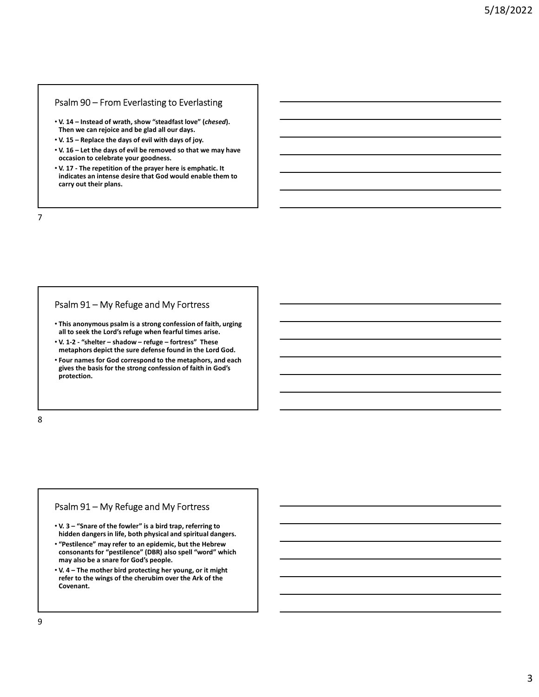- Then we can rejoice and be glad all our days.
- 
- Psalm 90 From Everlasting to Everlasting<br>
v. 14 Instead of wrath, show "steadfast love" (chesed).<br>
Then we can rejoice and be glad all our days.<br>
v. 15 Replace the days of evil with days of joy.<br>
v. 16 Let the days occasion to celebrate your goodness.
- **Psalm 90 From Everlasting to Everlasting<br>• V. 14 Instead of wrath, show "steadfast love" (chesed).**<br>
Then we can rejoice and be glad all our days.<br>• V. 15 Replace the days of evil with days of joy.<br>
 C. 16 Let th **PSalm 90 – From Everlasting to Everlasting<br>• V. 14 – Instead of wrath, show "steadfast love" (***chesed***).<br>• Then we can rejoice and be glad all our days.<br>• V. 15 – Replace the days of evil with days of joy.<br>• V. 16 – Let** From From Everlasting to Everlasting<br>• V. 14 - Instead of ward, show "steadfast love" (chesed).<br>• The we can rejoice and be glad all our days of joy.<br>• V. 15 - Replace the days of evil with days of joy.<br>• V. 16 - Let the d • V. 17 - The repetition of the prayer here is emphatic. It indicates an intense desire that God would enable them to carry out their plans. Psalm 90 – From Everlasting to Everlasting<br>
v. y. 14 – instead of wrath, show "steadfast love" (*chesed*).<br>
Then we can rejoice and be glad all our days.<br>
v. 15 – Replace the days of evil with days of joy.<br>
v. 15 – Replace

7

- This anonymous psalm is a strong confession of faith, urging all to seek the Lord's refuge when fearful times arise.
- 
- V. 14 Instead of wrath, show "steadfast lowe" (*chesed*).<br>
 The swe can rejoice and be gived will with days of joy.<br>
 V. 15 Eepleite days of evil with days of joy.<br>
 V. 15 The repetition of the prayer here is e metaphors depict the sure defense found in the Lord God. • Four names for God correspond to the metaphors, and each gives the basis for the strong confession of faith in God's protection. Psalm 91 – My Refuge and My Fortress<br>
This anonymous psalm is a strong confession of faith, urging<br>
all to seek the Lord's refuge when fearful times arise.<br>
"V.1-2-"shelter – shadow – refuge – fortress" These<br>
metaphors de FSalm 91 – MY Refuge and My Fortress<br>
This anonymus pailm is a strong confession of faith, urging<br>
all to seek the Lord's refuge when fearful times arise.<br>
CV. 1-2 "shelter – shadow – refuge – fortress" These<br>
metaphors de metaphors depict the sure defense found in the Lord God.<br>
• Four names for God correspond to the metaphors, and each<br>
gives the basis for the strong confession of faith in God's<br>
protection.<br>
• V. 3 – "Snare of the fowler"

8 and 2010 and 2010 and 2010 and 2010 and 2010 and 2010 and 2010 and 2010 and 2010 and 2010 and 2010 and 2010

- hidden dangers in life, both physical and spiritual dangers.
- "Pestilence" may refer to an epidemic, but the Hebrew consonants for "pestilence" (DBR) also spell "word" which may also be a snare for God's people.
- refer to the wings of the cherubim over the Ark of the Covenant.